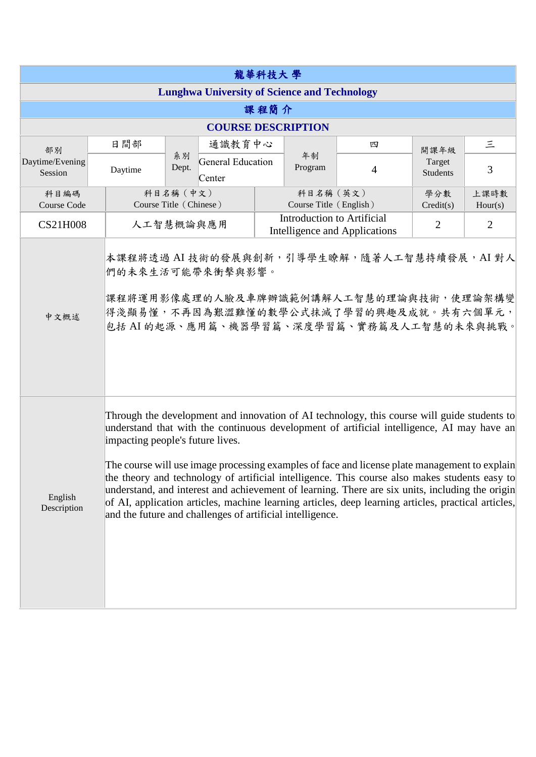| 龍華科技大學                                              |                                                                                                                                                                                                                                                                                                                                                                                                                                                                                                                                                                                                                                                                                                        |                                                                                                                                                                                                  |  |                                                             |                                     |                           |                 |  |  |  |
|-----------------------------------------------------|--------------------------------------------------------------------------------------------------------------------------------------------------------------------------------------------------------------------------------------------------------------------------------------------------------------------------------------------------------------------------------------------------------------------------------------------------------------------------------------------------------------------------------------------------------------------------------------------------------------------------------------------------------------------------------------------------------|--------------------------------------------------------------------------------------------------------------------------------------------------------------------------------------------------|--|-------------------------------------------------------------|-------------------------------------|---------------------------|-----------------|--|--|--|
| <b>Lunghwa University of Science and Technology</b> |                                                                                                                                                                                                                                                                                                                                                                                                                                                                                                                                                                                                                                                                                                        |                                                                                                                                                                                                  |  |                                                             |                                     |                           |                 |  |  |  |
| 課程簡介                                                |                                                                                                                                                                                                                                                                                                                                                                                                                                                                                                                                                                                                                                                                                                        |                                                                                                                                                                                                  |  |                                                             |                                     |                           |                 |  |  |  |
| <b>COURSE DESCRIPTION</b>                           |                                                                                                                                                                                                                                                                                                                                                                                                                                                                                                                                                                                                                                                                                                        |                                                                                                                                                                                                  |  |                                                             |                                     |                           |                 |  |  |  |
| 部別<br>Daytime/Evening<br>Session                    | 日間部                                                                                                                                                                                                                                                                                                                                                                                                                                                                                                                                                                                                                                                                                                    | 通識教育中心                                                                                                                                                                                           |  |                                                             | 四                                   | 開課年級                      | $\leq$          |  |  |  |
|                                                     | Daytime                                                                                                                                                                                                                                                                                                                                                                                                                                                                                                                                                                                                                                                                                                | 系別<br>General Education<br>Dept.<br>Center                                                                                                                                                       |  | 年制<br>Program                                               | $\overline{4}$                      | Target<br><b>Students</b> | 3               |  |  |  |
| 科目編碼<br>Course Code                                 |                                                                                                                                                                                                                                                                                                                                                                                                                                                                                                                                                                                                                                                                                                        | 科目名稱 (中文)<br>Course Title (Chinese)                                                                                                                                                              |  |                                                             | 科目名稱 (英文)<br>Course Title (English) | 學分數<br>Credit(s)          | 上課時數<br>Hour(s) |  |  |  |
| <b>CS21H008</b>                                     |                                                                                                                                                                                                                                                                                                                                                                                                                                                                                                                                                                                                                                                                                                        | 人工智慧概論與應用                                                                                                                                                                                        |  | Introduction to Artificial<br>Intelligence and Applications |                                     |                           | $\overline{2}$  |  |  |  |
| 中文概述                                                |                                                                                                                                                                                                                                                                                                                                                                                                                                                                                                                                                                                                                                                                                                        | 本課程將透過 AI 技術的發展與創新,引導學生瞭解,隨著人工智慧持續發展, AI 對人<br>們的未來生活可能帶來衝擊與影響。<br>課程將運用影像處理的人臉及車牌辦識範例講解人工智慧的理論與技術,使理論架構變<br>得淺顯易懂,不再因為艱澀難懂的數學公式抹滅了學習的興趣及成就。共有六個單元,<br>包括 AI 的起源、應用篇、機器學習篇、深度學習篇、實務篇及人工智慧的未來與挑戰。 |  |                                                             |                                     |                           |                 |  |  |  |
| English<br>Description                              | Through the development and innovation of AI technology, this course will guide students to<br>understand that with the continuous development of artificial intelligence, AI may have an<br>impacting people's future lives.<br>The course will use image processing examples of face and license plate management to explain<br>the theory and technology of artificial intelligence. This course also makes students easy to<br>understand, and interest and achievement of learning. There are six units, including the origin<br>of AI, application articles, machine learning articles, deep learning articles, practical articles,<br>and the future and challenges of artificial intelligence. |                                                                                                                                                                                                  |  |                                                             |                                     |                           |                 |  |  |  |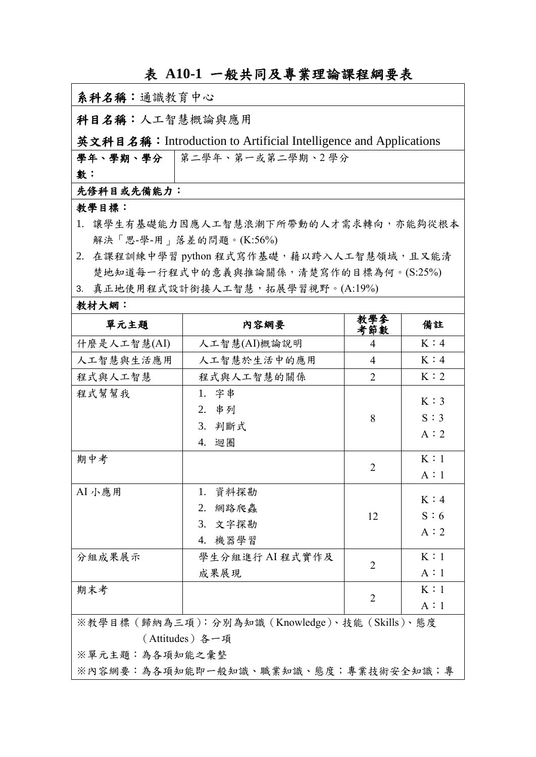## 表 **A10-1** 一般共同及專業理論課程綱要表

| 系科名稱:通識教育中心                                                     |                                           |                |     |  |  |  |  |
|-----------------------------------------------------------------|-------------------------------------------|----------------|-----|--|--|--|--|
| 科目名稱:人工智慧概論與應用                                                  |                                           |                |     |  |  |  |  |
| 英文科目名稱:Introduction to Artificial Intelligence and Applications |                                           |                |     |  |  |  |  |
| 學年、學期、學分   第二學年、第一或第二學期、2 學分                                    |                                           |                |     |  |  |  |  |
| 數:                                                              |                                           |                |     |  |  |  |  |
| 先修科目或先備能力:                                                      |                                           |                |     |  |  |  |  |
| 教學目標:                                                           |                                           |                |     |  |  |  |  |
| 1. 讓學生有基礎能力因應人工智慧浪潮下所帶動的人才需求轉向,亦能夠從根本                           |                                           |                |     |  |  |  |  |
| 解決「思-學-用」落差的問題。(K:56%)                                          |                                           |                |     |  |  |  |  |
|                                                                 | 2. 在課程訓練中學習 python 程式寫作基礎,藉以跨入人工智慧領域,且又能清 |                |     |  |  |  |  |
| 楚地知道每一行程式中的意義與推論關係,清楚寫作的目標為何。(S:25%)                            |                                           |                |     |  |  |  |  |
|                                                                 | 3. 真正地使用程式設計銜接人工智慧,拓展學習視野。(A:19%)         |                |     |  |  |  |  |
| 教材大網:                                                           |                                           |                |     |  |  |  |  |
| 單元主題                                                            | 内容網要                                      | 教學參<br>考節數     | 備註  |  |  |  |  |
| 什麼是人工智慧(AI)                                                     | 人工智慧(AI)概論說明                              | 4              | K:4 |  |  |  |  |
| 人工智慧與生活應用                                                       | 人工智慧於生活中的應用                               | $\overline{4}$ | K:4 |  |  |  |  |
| 程式與人工智慧                                                         | 程式與人工智慧的關係                                | 2              | K:2 |  |  |  |  |
| 程式幫幫我                                                           | 1. 字串                                     |                | K:3 |  |  |  |  |
|                                                                 | 2. 串列                                     | 8              | S:3 |  |  |  |  |
|                                                                 | 3. 判斷式                                    |                | A:2 |  |  |  |  |
|                                                                 | 4. 迴圈                                     |                |     |  |  |  |  |
| 期中考                                                             |                                           | $\overline{2}$ | K:1 |  |  |  |  |
|                                                                 |                                           |                | A:1 |  |  |  |  |
| AI 小應用                                                          | 1. 資料探勘                                   |                | K:4 |  |  |  |  |
|                                                                 | 2. 網路爬蟲                                   | 12             | S:6 |  |  |  |  |
|                                                                 | 3. 文字探勘                                   |                | A:2 |  |  |  |  |
|                                                                 | 4. 機器學習                                   |                |     |  |  |  |  |
| 分組成果展示                                                          | 學生分組進行 AI 程式實作及                           |                | K:1 |  |  |  |  |
|                                                                 | 成果展現                                      | $\overline{2}$ | A:1 |  |  |  |  |
| 期末考                                                             |                                           |                | K:1 |  |  |  |  |
|                                                                 |                                           | $\overline{2}$ | A:1 |  |  |  |  |
| ※教學目標 (歸納為三項): 分別為知識 (Knowledge)、技能 (Skills)、態度                 |                                           |                |     |  |  |  |  |
| (Attitudes) 各一項                                                 |                                           |                |     |  |  |  |  |
| ※單元主題:為各項知能之彙整                                                  |                                           |                |     |  |  |  |  |

※內容網要:為各項知能即一般知識、職業知識、態度;專業技術安全知識;專